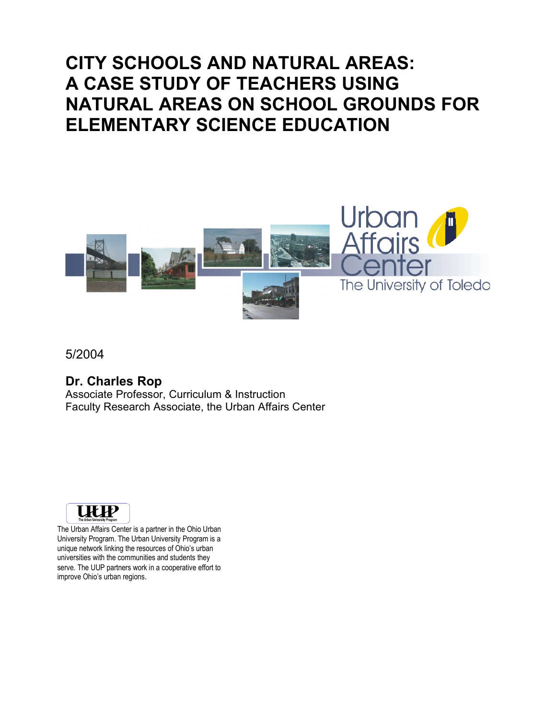# **CITY SCHOOLS AND NATURAL AREAS: A CASE STUDY OF TEACHERS USING NATURAL AREAS ON SCHOOL GROUNDS FOR ELEMENTARY SCIENCE EDUCATION**



5/2004

### **Dr. Charles Rop**

Associate Professor, Curriculum & Instruction Faculty Research Associate, the Urban Affairs Center



The Urban Affairs Center is a partner in the Ohio Urban University Program. The Urban University Program is a unique network linking the resources of Ohio's urban universities with the communities and students they serve. The UUP partners work in a cooperative effort to improve Ohio's urban regions.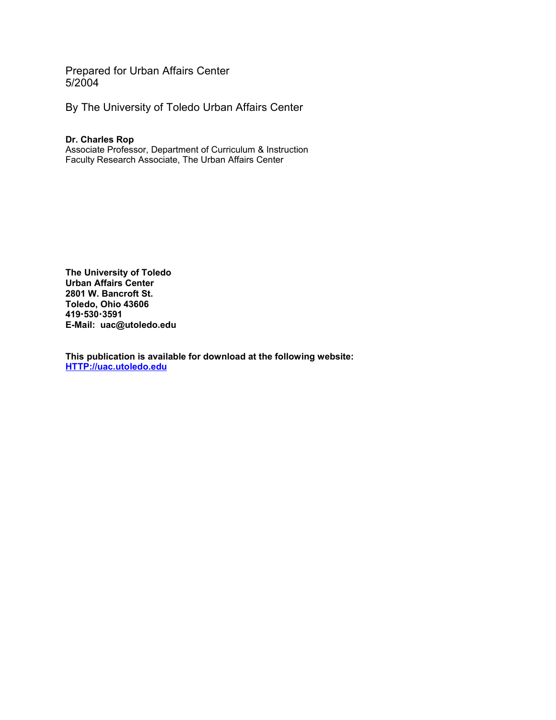Prepared for Urban Affairs Center 5/2004

By The University of Toledo Urban Affairs Center

#### **Dr. Charles Rop**

Associate Professor, Department of Curriculum & Instruction Faculty Research Associate, The Urban Affairs Center

**The University of Toledo Urban Affairs Center 2801 W. Bancroft St. Toledo, Ohio 43606 4195303591 E-Mail: uac@utoledo.edu**

**This publication is available for download at the following website: HTTP://uac.utoledo.edu**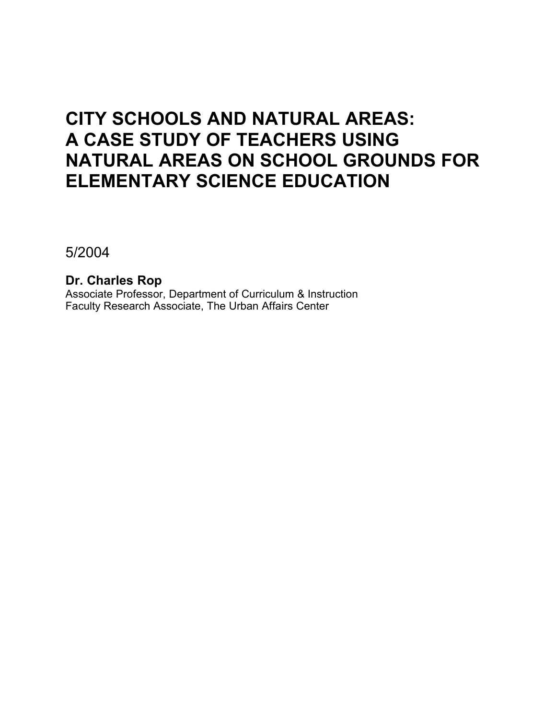# **CITY SCHOOLS AND NATURAL AREAS: A CASE STUDY OF TEACHERS USING NATURAL AREAS ON SCHOOL GROUNDS FOR ELEMENTARY SCIENCE EDUCATION**

5/2004

**Dr. Charles Rop** Associate Professor, Department of Curriculum & Instruction Faculty Research Associate, The Urban Affairs Center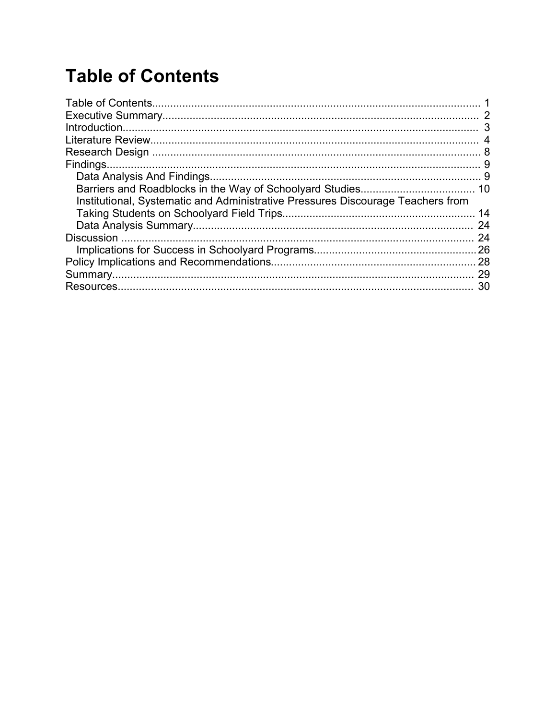# **Table of Contents**

| Institutional, Systematic and Administrative Pressures Discourage Teachers from |      |
|---------------------------------------------------------------------------------|------|
|                                                                                 | 14   |
|                                                                                 | 24   |
|                                                                                 | 24   |
|                                                                                 | . 26 |
|                                                                                 |      |
|                                                                                 | 29   |
|                                                                                 | 30   |
|                                                                                 |      |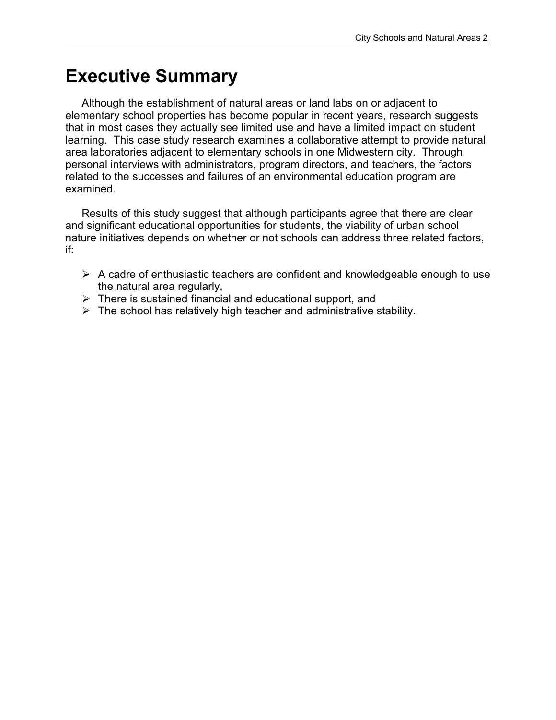## **Executive Summary**

Although the establishment of natural areas or land labs on or adjacent to elementary school properties has become popular in recent years, research suggests that in most cases they actually see limited use and have a limited impact on student learning. This case study research examines a collaborative attempt to provide natural area laboratories adjacent to elementary schools in one Midwestern city. Through personal interviews with administrators, program directors, and teachers, the factors related to the successes and failures of an environmental education program are examined.

Results of this study suggest that although participants agree that there are clear and significant educational opportunities for students, the viability of urban school nature initiatives depends on whether or not schools can address three related factors, if:

- $\triangleright$  A cadre of enthusiastic teachers are confident and knowledgeable enough to use the natural area regularly,
- $\triangleright$  There is sustained financial and educational support, and
- $\triangleright$  The school has relatively high teacher and administrative stability.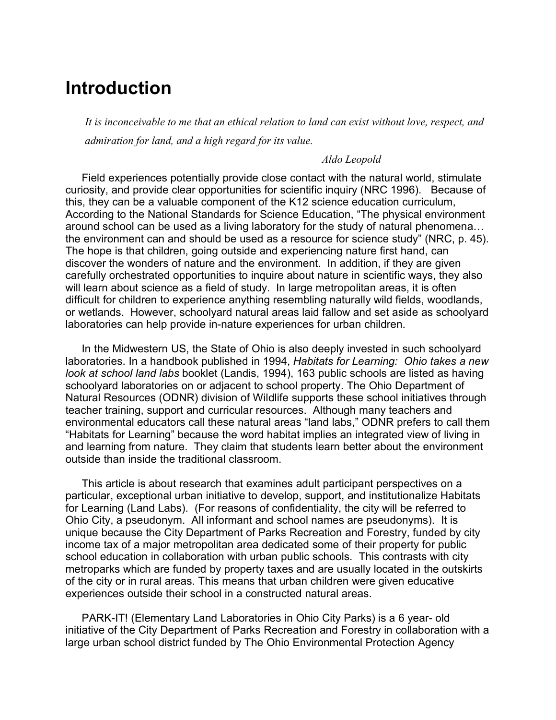## **Introduction**

*It is inconceivable to me that an ethical relation to land can exist without love, respect, and admiration for land, and a high regard for its value.* 

#### *Aldo Leopold*

Field experiences potentially provide close contact with the natural world, stimulate curiosity, and provide clear opportunities for scientific inquiry (NRC 1996). Because of this, they can be a valuable component of the K12 science education curriculum, According to the National Standards for Science Education, "The physical environment around school can be used as a living laboratory for the study of natural phenomena… the environment can and should be used as a resource for science study" (NRC, p. 45). The hope is that children, going outside and experiencing nature first hand, can discover the wonders of nature and the environment. In addition, if they are given carefully orchestrated opportunities to inquire about nature in scientific ways, they also will learn about science as a field of study. In large metropolitan areas, it is often difficult for children to experience anything resembling naturally wild fields, woodlands, or wetlands. However, schoolyard natural areas laid fallow and set aside as schoolyard laboratories can help provide in-nature experiences for urban children.

In the Midwestern US, the State of Ohio is also deeply invested in such schoolyard laboratories. In a handbook published in 1994, *Habitats for Learning: Ohio takes a new look at school land labs* booklet (Landis, 1994), 163 public schools are listed as having schoolyard laboratories on or adjacent to school property. The Ohio Department of Natural Resources (ODNR) division of Wildlife supports these school initiatives through teacher training, support and curricular resources. Although many teachers and environmental educators call these natural areas "land labs," ODNR prefers to call them "Habitats for Learning" because the word habitat implies an integrated view of living in and learning from nature. They claim that students learn better about the environment outside than inside the traditional classroom.

This article is about research that examines adult participant perspectives on a particular, exceptional urban initiative to develop, support, and institutionalize Habitats for Learning (Land Labs). (For reasons of confidentiality, the city will be referred to Ohio City, a pseudonym. All informant and school names are pseudonyms). It is unique because the City Department of Parks Recreation and Forestry, funded by city income tax of a major metropolitan area dedicated some of their property for public school education in collaboration with urban public schools. This contrasts with city metroparks which are funded by property taxes and are usually located in the outskirts of the city or in rural areas. This means that urban children were given educative experiences outside their school in a constructed natural areas.

PARK-IT! (Elementary Land Laboratories in Ohio City Parks) is a 6 year- old initiative of the City Department of Parks Recreation and Forestry in collaboration with a large urban school district funded by The Ohio Environmental Protection Agency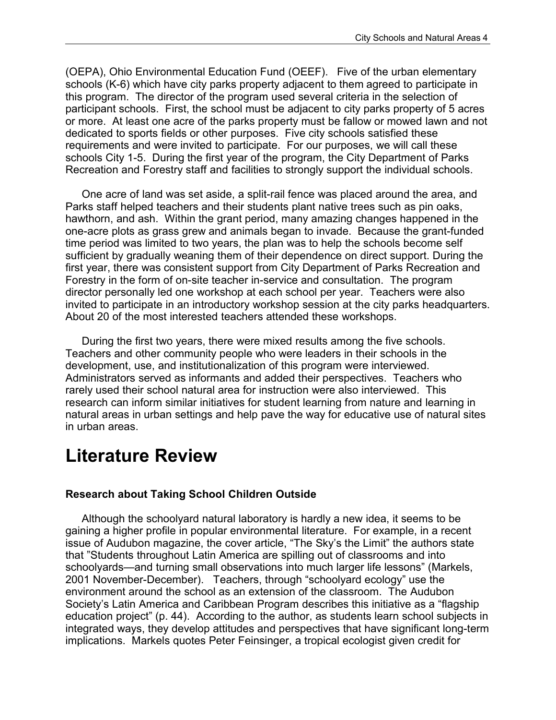(OEPA), Ohio Environmental Education Fund (OEEF). Five of the urban elementary schools (K-6) which have city parks property adjacent to them agreed to participate in this program. The director of the program used several criteria in the selection of participant schools. First, the school must be adjacent to city parks property of 5 acres or more. At least one acre of the parks property must be fallow or mowed lawn and not dedicated to sports fields or other purposes. Five city schools satisfied these requirements and were invited to participate. For our purposes, we will call these schools City 1-5. During the first year of the program, the City Department of Parks Recreation and Forestry staff and facilities to strongly support the individual schools.

One acre of land was set aside, a split-rail fence was placed around the area, and Parks staff helped teachers and their students plant native trees such as pin oaks, hawthorn, and ash. Within the grant period, many amazing changes happened in the one-acre plots as grass grew and animals began to invade. Because the grant-funded time period was limited to two years, the plan was to help the schools become self sufficient by gradually weaning them of their dependence on direct support. During the first year, there was consistent support from City Department of Parks Recreation and Forestry in the form of on-site teacher in-service and consultation. The program director personally led one workshop at each school per year. Teachers were also invited to participate in an introductory workshop session at the city parks headquarters. About 20 of the most interested teachers attended these workshops.

During the first two years, there were mixed results among the five schools. Teachers and other community people who were leaders in their schools in the development, use, and institutionalization of this program were interviewed. Administrators served as informants and added their perspectives. Teachers who rarely used their school natural area for instruction were also interviewed. This research can inform similar initiatives for student learning from nature and learning in natural areas in urban settings and help pave the way for educative use of natural sites in urban areas.

## **Literature Review**

#### **Research about Taking School Children Outside**

Although the schoolyard natural laboratory is hardly a new idea, it seems to be gaining a higher profile in popular environmental literature. For example, in a recent issue of Audubon magazine, the cover article, "The Sky's the Limit" the authors state that "Students throughout Latin America are spilling out of classrooms and into schoolyards—and turning small observations into much larger life lessons" (Markels, 2001 November-December). Teachers, through "schoolyard ecology" use the environment around the school as an extension of the classroom. The Audubon Society's Latin America and Caribbean Program describes this initiative as a "flagship education project" (p. 44). According to the author, as students learn school subjects in integrated ways, they develop attitudes and perspectives that have significant long-term implications. Markels quotes Peter Feinsinger, a tropical ecologist given credit for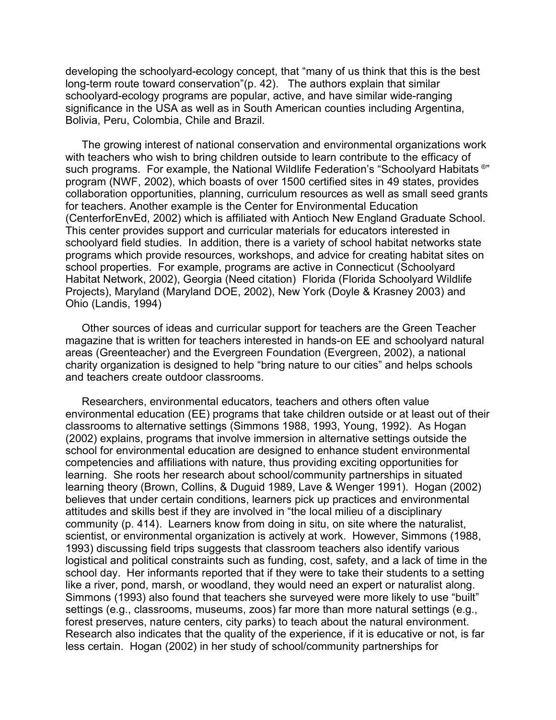developing the schoolyard-ecology concept, that "many of us think that this is the best long-term route toward conservation"(p. 42). The authors explain that similar schoolyard-ecology programs are popular, active, and have similar wide-ranging significance in the USA as well as in South American counties including Argentina, Bolivia, Peru, Colombia, Chile and Brazil.

The growing interest of national conservation and environmental organizations work with teachers who wish to bring children outside to learn contribute to the efficacy of such programs. For example, the National Wildlife Federation's "Schoolyard Habitats ®" program (NWF, 2002), which boasts of over 1500 certified sites in 49 states, provides collaboration opportunities, planning, curriculum resources as well as small seed grants for teachers. Another example is the Center for Environmental Education (CenterforEnvEd, 2002) which is affiliated with Antioch New England Graduate School. This center provides support and curricular materials for educators interested in schoolyard field studies. In addition, there is a variety of school habitat networks state programs which provide resources, workshops, and advice for creating habitat sites on school properties. For example, programs are active in Connecticut (Schoolyard Habitat Network, 2002), Georgia (Need citation) Florida (Florida Schoolyard Wildlife Projects), Maryland (Maryland DOE, 2002), New York (Doyle & Krasney 2003) and Ohio (Landis, 1994)

Other sources of ideas and curricular support for teachers are the Green Teacher magazine that is written for teachers interested in hands-on EE and schoolyard natural areas (Greenteacher) and the Evergreen Foundation (Evergreen, 2002), a national charity organization is designed to help "bring nature to our cities" and helps schools and teachers create outdoor classrooms.

Researchers, environmental educators, teachers and others often value environmental education (EE) programs that take children outside or at least out of their classrooms to alternative settings (Simmons 1988, 1993, Young, 1992). As Hogan (2002) explains, programs that involve immersion in alternative settings outside the school for environmental education are designed to enhance student environmental competencies and affiliations with nature, thus providing exciting opportunities for learning. She roots her research about school/community partnerships in situated learning theory (Brown, Collins, & Duguid 1989, Lave & Wenger 1991). Hogan (2002) believes that under certain conditions, learners pick up practices and environmental attitudes and skills best if they are involved in "the local milieu of a disciplinary community (p. 414). Learners know from doing in situ, on site where the naturalist, scientist, or environmental organization is actively at work. However, Simmons (1988, 1993) discussing field trips suggests that classroom teachers also identify various logistical and political constraints such as funding, cost, safety, and a lack of time in the school day. Her informants reported that if they were to take their students to a setting like a river, pond, marsh, or woodland, they would need an expert or naturalist along. Simmons (1993) also found that teachers she surveyed were more likely to use "built" settings (e.g., classrooms, museums, zoos) far more than more natural settings (e.g., forest preserves, nature centers, city parks) to teach about the natural environment. Research also indicates that the quality of the experience, if it is educative or not, is far less certain. Hogan (2002) in her study of school/community partnerships for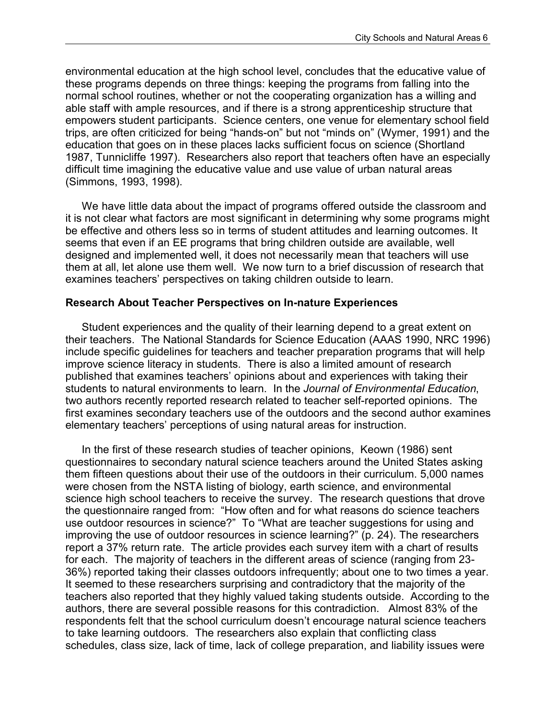environmental education at the high school level, concludes that the educative value of these programs depends on three things: keeping the programs from falling into the normal school routines, whether or not the cooperating organization has a willing and able staff with ample resources, and if there is a strong apprenticeship structure that empowers student participants. Science centers, one venue for elementary school field trips, are often criticized for being "hands-on" but not "minds on" (Wymer, 1991) and the education that goes on in these places lacks sufficient focus on science (Shortland 1987, Tunnicliffe 1997). Researchers also report that teachers often have an especially difficult time imagining the educative value and use value of urban natural areas (Simmons, 1993, 1998).

We have little data about the impact of programs offered outside the classroom and it is not clear what factors are most significant in determining why some programs might be effective and others less so in terms of student attitudes and learning outcomes. It seems that even if an EE programs that bring children outside are available, well designed and implemented well, it does not necessarily mean that teachers will use them at all, let alone use them well. We now turn to a brief discussion of research that examines teachers' perspectives on taking children outside to learn.

#### **Research About Teacher Perspectives on In-nature Experiences**

Student experiences and the quality of their learning depend to a great extent on their teachers. The National Standards for Science Education (AAAS 1990, NRC 1996) include specific guidelines for teachers and teacher preparation programs that will help improve science literacy in students. There is also a limited amount of research published that examines teachers' opinions about and experiences with taking their students to natural environments to learn. In the *Journal of Environmental Education*, two authors recently reported research related to teacher self-reported opinions. The first examines secondary teachers use of the outdoors and the second author examines elementary teachers' perceptions of using natural areas for instruction.

In the first of these research studies of teacher opinions, Keown (1986) sent questionnaires to secondary natural science teachers around the United States asking them fifteen questions about their use of the outdoors in their curriculum. 5,000 names were chosen from the NSTA listing of biology, earth science, and environmental science high school teachers to receive the survey. The research questions that drove the questionnaire ranged from: "How often and for what reasons do science teachers use outdoor resources in science?" To "What are teacher suggestions for using and improving the use of outdoor resources in science learning?" (p. 24). The researchers report a 37% return rate. The article provides each survey item with a chart of results for each. The majority of teachers in the different areas of science (ranging from 23- 36%) reported taking their classes outdoors infrequently; about one to two times a year. It seemed to these researchers surprising and contradictory that the majority of the teachers also reported that they highly valued taking students outside. According to the authors, there are several possible reasons for this contradiction. Almost 83% of the respondents felt that the school curriculum doesn't encourage natural science teachers to take learning outdoors. The researchers also explain that conflicting class schedules, class size, lack of time, lack of college preparation, and liability issues were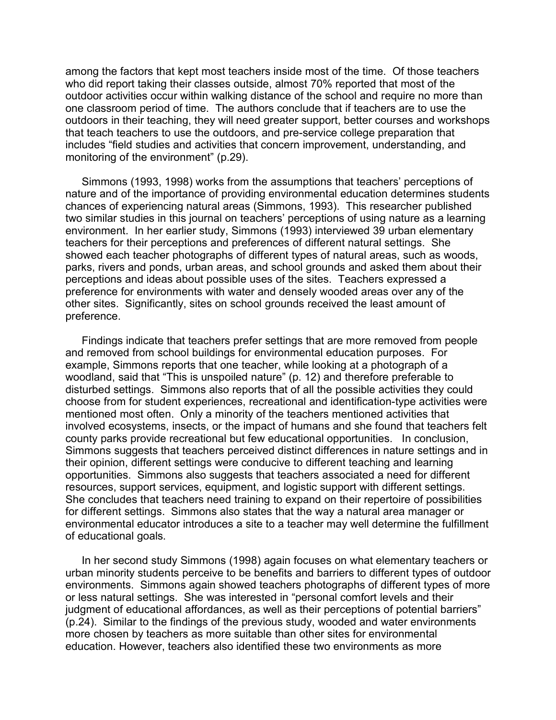among the factors that kept most teachers inside most of the time. Of those teachers who did report taking their classes outside, almost 70% reported that most of the outdoor activities occur within walking distance of the school and require no more than one classroom period of time. The authors conclude that if teachers are to use the outdoors in their teaching, they will need greater support, better courses and workshops that teach teachers to use the outdoors, and pre-service college preparation that includes "field studies and activities that concern improvement, understanding, and monitoring of the environment" (p.29).

Simmons (1993, 1998) works from the assumptions that teachers' perceptions of nature and of the importance of providing environmental education determines students chances of experiencing natural areas (Simmons, 1993). This researcher published two similar studies in this journal on teachers' perceptions of using nature as a learning environment. In her earlier study, Simmons (1993) interviewed 39 urban elementary teachers for their perceptions and preferences of different natural settings. She showed each teacher photographs of different types of natural areas, such as woods, parks, rivers and ponds, urban areas, and school grounds and asked them about their perceptions and ideas about possible uses of the sites. Teachers expressed a preference for environments with water and densely wooded areas over any of the other sites. Significantly, sites on school grounds received the least amount of preference.

Findings indicate that teachers prefer settings that are more removed from people and removed from school buildings for environmental education purposes. For example, Simmons reports that one teacher, while looking at a photograph of a woodland, said that "This is unspoiled nature" (p. 12) and therefore preferable to disturbed settings. Simmons also reports that of all the possible activities they could choose from for student experiences, recreational and identification-type activities were mentioned most often. Only a minority of the teachers mentioned activities that involved ecosystems, insects, or the impact of humans and she found that teachers felt county parks provide recreational but few educational opportunities. In conclusion, Simmons suggests that teachers perceived distinct differences in nature settings and in their opinion, different settings were conducive to different teaching and learning opportunities. Simmons also suggests that teachers associated a need for different resources, support services, equipment, and logistic support with different settings. She concludes that teachers need training to expand on their repertoire of possibilities for different settings. Simmons also states that the way a natural area manager or environmental educator introduces a site to a teacher may well determine the fulfillment of educational goals.

In her second study Simmons (1998) again focuses on what elementary teachers or urban minority students perceive to be benefits and barriers to different types of outdoor environments. Simmons again showed teachers photographs of different types of more or less natural settings. She was interested in "personal comfort levels and their judgment of educational affordances, as well as their perceptions of potential barriers" (p.24). Similar to the findings of the previous study, wooded and water environments more chosen by teachers as more suitable than other sites for environmental education. However, teachers also identified these two environments as more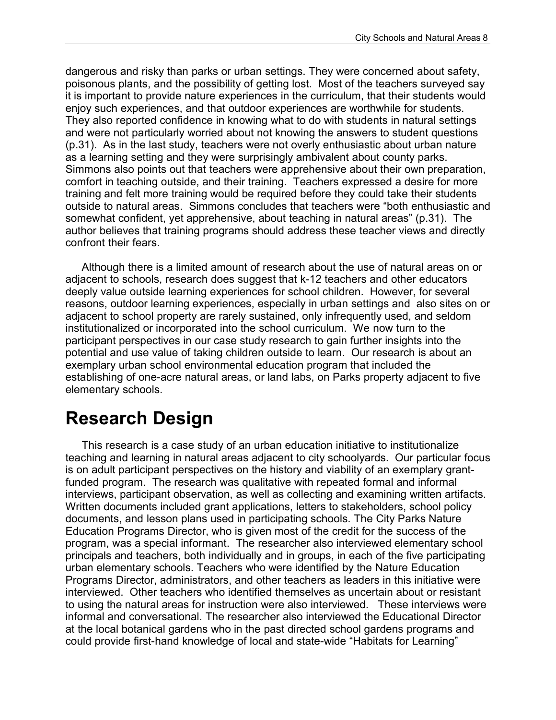dangerous and risky than parks or urban settings. They were concerned about safety, poisonous plants, and the possibility of getting lost. Most of the teachers surveyed say it is important to provide nature experiences in the curriculum, that their students would enjoy such experiences, and that outdoor experiences are worthwhile for students. They also reported confidence in knowing what to do with students in natural settings and were not particularly worried about not knowing the answers to student questions (p.31). As in the last study, teachers were not overly enthusiastic about urban nature as a learning setting and they were surprisingly ambivalent about county parks. Simmons also points out that teachers were apprehensive about their own preparation, comfort in teaching outside, and their training. Teachers expressed a desire for more training and felt more training would be required before they could take their students outside to natural areas. Simmons concludes that teachers were "both enthusiastic and somewhat confident, yet apprehensive, about teaching in natural areas" (p.31). The author believes that training programs should address these teacher views and directly confront their fears.

Although there is a limited amount of research about the use of natural areas on or adjacent to schools, research does suggest that k-12 teachers and other educators deeply value outside learning experiences for school children. However, for several reasons, outdoor learning experiences, especially in urban settings and also sites on or adjacent to school property are rarely sustained, only infrequently used, and seldom institutionalized or incorporated into the school curriculum. We now turn to the participant perspectives in our case study research to gain further insights into the potential and use value of taking children outside to learn. Our research is about an exemplary urban school environmental education program that included the establishing of one-acre natural areas, or land labs, on Parks property adjacent to five elementary schools.

# **Research Design**

This research is a case study of an urban education initiative to institutionalize teaching and learning in natural areas adjacent to city schoolyards. Our particular focus is on adult participant perspectives on the history and viability of an exemplary grantfunded program. The research was qualitative with repeated formal and informal interviews, participant observation, as well as collecting and examining written artifacts. Written documents included grant applications, letters to stakeholders, school policy documents, and lesson plans used in participating schools. The City Parks Nature Education Programs Director, who is given most of the credit for the success of the program, was a special informant. The researcher also interviewed elementary school principals and teachers, both individually and in groups, in each of the five participating urban elementary schools. Teachers who were identified by the Nature Education Programs Director, administrators, and other teachers as leaders in this initiative were interviewed. Other teachers who identified themselves as uncertain about or resistant to using the natural areas for instruction were also interviewed. These interviews were informal and conversational. The researcher also interviewed the Educational Director at the local botanical gardens who in the past directed school gardens programs and could provide first-hand knowledge of local and state-wide "Habitats for Learning"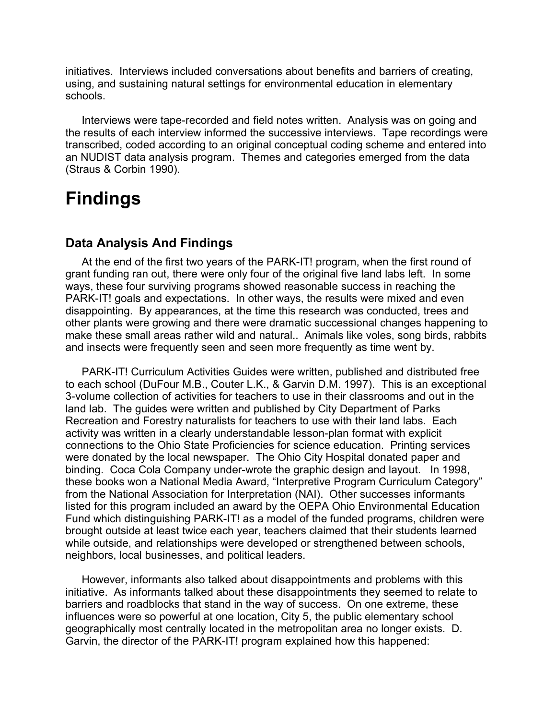initiatives. Interviews included conversations about benefits and barriers of creating, using, and sustaining natural settings for environmental education in elementary schools.

Interviews were tape-recorded and field notes written. Analysis was on going and the results of each interview informed the successive interviews. Tape recordings were transcribed, coded according to an original conceptual coding scheme and entered into an NUDIST data analysis program. Themes and categories emerged from the data (Straus & Corbin 1990).

## **Findings**

### **Data Analysis And Findings**

At the end of the first two years of the PARK-IT! program, when the first round of grant funding ran out, there were only four of the original five land labs left. In some ways, these four surviving programs showed reasonable success in reaching the PARK-IT! goals and expectations. In other ways, the results were mixed and even disappointing. By appearances, at the time this research was conducted, trees and other plants were growing and there were dramatic successional changes happening to make these small areas rather wild and natural.. Animals like voles, song birds, rabbits and insects were frequently seen and seen more frequently as time went by.

PARK-IT! Curriculum Activities Guides were written, published and distributed free to each school (DuFour M.B., Couter L.K., & Garvin D.M. 1997). This is an exceptional 3-volume collection of activities for teachers to use in their classrooms and out in the land lab. The guides were written and published by City Department of Parks Recreation and Forestry naturalists for teachers to use with their land labs. Each activity was written in a clearly understandable lesson-plan format with explicit connections to the Ohio State Proficiencies for science education. Printing services were donated by the local newspaper. The Ohio City Hospital donated paper and binding. Coca Cola Company under-wrote the graphic design and layout. In 1998, these books won a National Media Award, "Interpretive Program Curriculum Category" from the National Association for Interpretation (NAI). Other successes informants listed for this program included an award by the OEPA Ohio Environmental Education Fund which distinguishing PARK-IT! as a model of the funded programs, children were brought outside at least twice each year, teachers claimed that their students learned while outside, and relationships were developed or strengthened between schools, neighbors, local businesses, and political leaders.

However, informants also talked about disappointments and problems with this initiative. As informants talked about these disappointments they seemed to relate to barriers and roadblocks that stand in the way of success. On one extreme, these influences were so powerful at one location, City 5, the public elementary school geographically most centrally located in the metropolitan area no longer exists. D. Garvin, the director of the PARK-IT! program explained how this happened: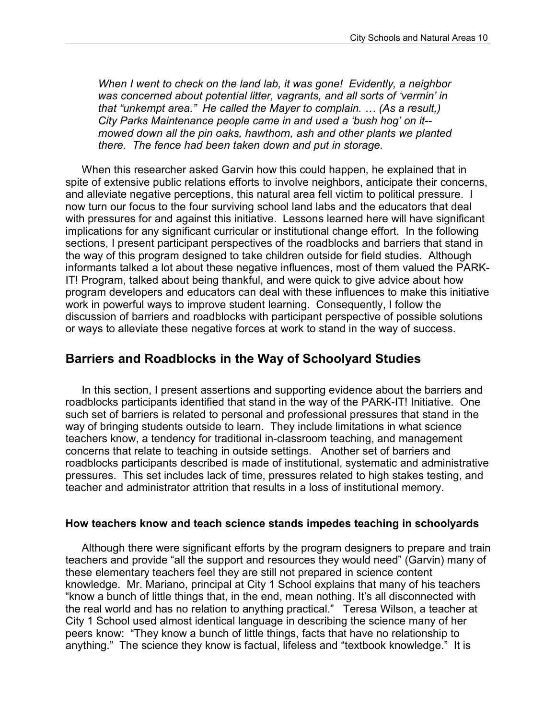*When I went to check on the land lab, it was gone! Evidently, a neighbor was concerned about potential litter, vagrants, and all sorts of 'vermin' in that "unkempt area." He called the Mayer to complain. … (As a result,) City Parks Maintenance people came in and used a 'bush hog' on it- mowed down all the pin oaks, hawthorn, ash and other plants we planted there. The fence had been taken down and put in storage.*

When this researcher asked Garvin how this could happen, he explained that in spite of extensive public relations efforts to involve neighbors, anticipate their concerns, and alleviate negative perceptions, this natural area fell victim to political pressure. I now turn our focus to the four surviving school land labs and the educators that deal with pressures for and against this initiative. Lessons learned here will have significant implications for any significant curricular or institutional change effort. In the following sections, I present participant perspectives of the roadblocks and barriers that stand in the way of this program designed to take children outside for field studies. Although informants talked a lot about these negative influences, most of them valued the PARK-IT! Program, talked about being thankful, and were quick to give advice about how program developers and educators can deal with these influences to make this initiative work in powerful ways to improve student learning. Consequently, I follow the discussion of barriers and roadblocks with participant perspective of possible solutions or ways to alleviate these negative forces at work to stand in the way of success.

### **Barriers and Roadblocks in the Way of Schoolyard Studies**

In this section, I present assertions and supporting evidence about the barriers and roadblocks participants identified that stand in the way of the PARK-IT! Initiative. One such set of barriers is related to personal and professional pressures that stand in the way of bringing students outside to learn. They include limitations in what science teachers know, a tendency for traditional in-classroom teaching, and management concerns that relate to teaching in outside settings. Another set of barriers and roadblocks participants described is made of institutional, systematic and administrative pressures. This set includes lack of time, pressures related to high stakes testing, and teacher and administrator attrition that results in a loss of institutional memory.

#### **How teachers know and teach science stands impedes teaching in schoolyards**

Although there were significant efforts by the program designers to prepare and train teachers and provide "all the support and resources they would need" (Garvin) many of these elementary teachers feel they are still not prepared in science content knowledge. Mr. Mariano, principal at City 1 School explains that many of his teachers "know a bunch of little things that, in the end, mean nothing. It's all disconnected with the real world and has no relation to anything practical." Teresa Wilson, a teacher at City 1 School used almost identical language in describing the science many of her peers know: "They know a bunch of little things, facts that have no relationship to anything." The science they know is factual, lifeless and "textbook knowledge." It is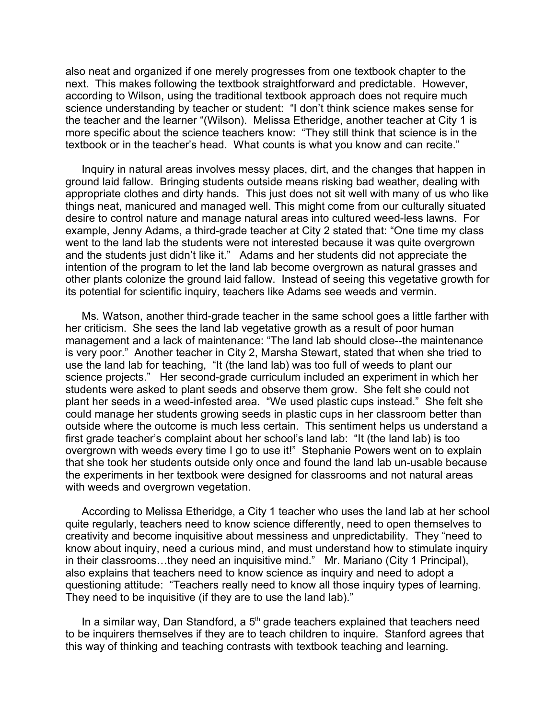also neat and organized if one merely progresses from one textbook chapter to the next. This makes following the textbook straightforward and predictable. However, according to Wilson, using the traditional textbook approach does not require much science understanding by teacher or student: "I don't think science makes sense for the teacher and the learner "(Wilson). Melissa Etheridge, another teacher at City 1 is more specific about the science teachers know: "They still think that science is in the textbook or in the teacher's head. What counts is what you know and can recite."

Inquiry in natural areas involves messy places, dirt, and the changes that happen in ground laid fallow. Bringing students outside means risking bad weather, dealing with appropriate clothes and dirty hands. This just does not sit well with many of us who like things neat, manicured and managed well. This might come from our culturally situated desire to control nature and manage natural areas into cultured weed-less lawns. For example, Jenny Adams, a third-grade teacher at City 2 stated that: "One time my class went to the land lab the students were not interested because it was quite overgrown and the students just didn't like it." Adams and her students did not appreciate the intention of the program to let the land lab become overgrown as natural grasses and other plants colonize the ground laid fallow. Instead of seeing this vegetative growth for its potential for scientific inquiry, teachers like Adams see weeds and vermin.

Ms. Watson, another third-grade teacher in the same school goes a little farther with her criticism. She sees the land lab vegetative growth as a result of poor human management and a lack of maintenance: "The land lab should close--the maintenance is very poor." Another teacher in City 2, Marsha Stewart, stated that when she tried to use the land lab for teaching, "It (the land lab) was too full of weeds to plant our science projects." Her second-grade curriculum included an experiment in which her students were asked to plant seeds and observe them grow. She felt she could not plant her seeds in a weed-infested area. "We used plastic cups instead." She felt she could manage her students growing seeds in plastic cups in her classroom better than outside where the outcome is much less certain. This sentiment helps us understand a first grade teacher's complaint about her school's land lab: "It (the land lab) is too overgrown with weeds every time I go to use it!" Stephanie Powers went on to explain that she took her students outside only once and found the land lab un-usable because the experiments in her textbook were designed for classrooms and not natural areas with weeds and overgrown vegetation.

According to Melissa Etheridge, a City 1 teacher who uses the land lab at her school quite regularly, teachers need to know science differently, need to open themselves to creativity and become inquisitive about messiness and unpredictability. They "need to know about inquiry, need a curious mind, and must understand how to stimulate inquiry in their classrooms…they need an inquisitive mind." Mr. Mariano (City 1 Principal), also explains that teachers need to know science as inquiry and need to adopt a questioning attitude: "Teachers really need to know all those inquiry types of learning. They need to be inquisitive (if they are to use the land lab)."

In a similar way, Dan Standford, a  $5<sup>th</sup>$  grade teachers explained that teachers need to be inquirers themselves if they are to teach children to inquire. Stanford agrees that this way of thinking and teaching contrasts with textbook teaching and learning.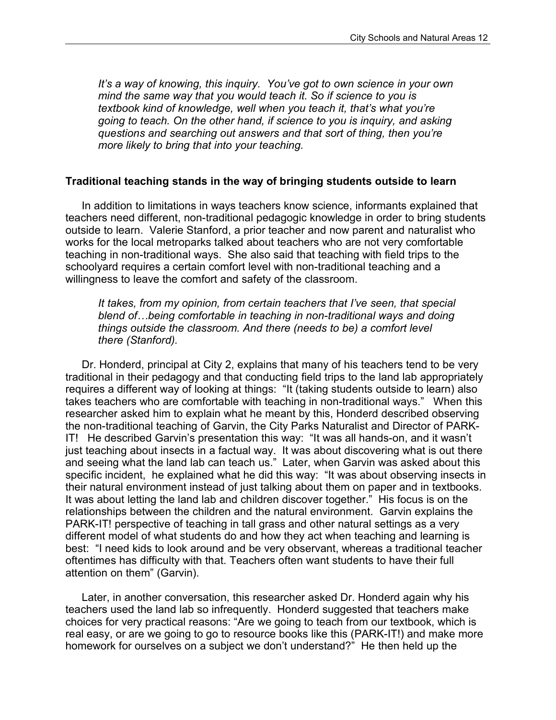*It's a way of knowing, this inquiry. You've got to own science in your own mind the same way that you would teach it. So if science to you is textbook kind of knowledge, well when you teach it, that's what you're going to teach. On the other hand, if science to you is inquiry, and asking questions and searching out answers and that sort of thing, then you're more likely to bring that into your teaching.*

#### **Traditional teaching stands in the way of bringing students outside to learn**

In addition to limitations in ways teachers know science, informants explained that teachers need different, non-traditional pedagogic knowledge in order to bring students outside to learn. Valerie Stanford, a prior teacher and now parent and naturalist who works for the local metroparks talked about teachers who are not very comfortable teaching in non-traditional ways. She also said that teaching with field trips to the schoolyard requires a certain comfort level with non-traditional teaching and a willingness to leave the comfort and safety of the classroom.

*It takes, from my opinion, from certain teachers that I've seen, that special blend of…being comfortable in teaching in non-traditional ways and doing things outside the classroom. And there (needs to be) a comfort level there (Stanford).*

Dr. Honderd, principal at City 2, explains that many of his teachers tend to be very traditional in their pedagogy and that conducting field trips to the land lab appropriately requires a different way of looking at things: "It (taking students outside to learn) also takes teachers who are comfortable with teaching in non-traditional ways." When this researcher asked him to explain what he meant by this, Honderd described observing the non-traditional teaching of Garvin, the City Parks Naturalist and Director of PARK-IT! He described Garvin's presentation this way: "It was all hands-on, and it wasn't just teaching about insects in a factual way. It was about discovering what is out there and seeing what the land lab can teach us." Later, when Garvin was asked about this specific incident, he explained what he did this way: "It was about observing insects in their natural environment instead of just talking about them on paper and in textbooks. It was about letting the land lab and children discover together." His focus is on the relationships between the children and the natural environment. Garvin explains the PARK-IT! perspective of teaching in tall grass and other natural settings as a very different model of what students do and how they act when teaching and learning is best: "I need kids to look around and be very observant, whereas a traditional teacher oftentimes has difficulty with that. Teachers often want students to have their full attention on them" (Garvin).

Later, in another conversation, this researcher asked Dr. Honderd again why his teachers used the land lab so infrequently. Honderd suggested that teachers make choices for very practical reasons: "Are we going to teach from our textbook, which is real easy, or are we going to go to resource books like this (PARK-IT!) and make more homework for ourselves on a subject we don't understand?" He then held up the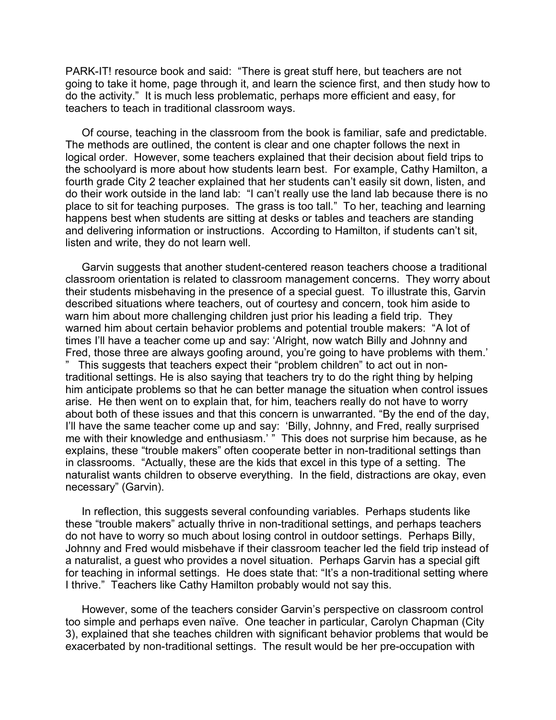PARK-IT! resource book and said: "There is great stuff here, but teachers are not going to take it home, page through it, and learn the science first, and then study how to do the activity." It is much less problematic, perhaps more efficient and easy, for teachers to teach in traditional classroom ways.

Of course, teaching in the classroom from the book is familiar, safe and predictable. The methods are outlined, the content is clear and one chapter follows the next in logical order. However, some teachers explained that their decision about field trips to the schoolyard is more about how students learn best. For example, Cathy Hamilton, a fourth grade City 2 teacher explained that her students can't easily sit down, listen, and do their work outside in the land lab: "I can't really use the land lab because there is no place to sit for teaching purposes. The grass is too tall." To her, teaching and learning happens best when students are sitting at desks or tables and teachers are standing and delivering information or instructions. According to Hamilton, if students can't sit, listen and write, they do not learn well.

Garvin suggests that another student-centered reason teachers choose a traditional classroom orientation is related to classroom management concerns. They worry about their students misbehaving in the presence of a special guest. To illustrate this, Garvin described situations where teachers, out of courtesy and concern, took him aside to warn him about more challenging children just prior his leading a field trip. They warned him about certain behavior problems and potential trouble makers: "A lot of times I'll have a teacher come up and say: 'Alright, now watch Billy and Johnny and Fred, those three are always goofing around, you're going to have problems with them.' This suggests that teachers expect their "problem children" to act out in nontraditional settings. He is also saying that teachers try to do the right thing by helping him anticipate problems so that he can better manage the situation when control issues arise. He then went on to explain that, for him, teachers really do not have to worry about both of these issues and that this concern is unwarranted. "By the end of the day, I'll have the same teacher come up and say: 'Billy, Johnny, and Fred, really surprised me with their knowledge and enthusiasm.' " This does not surprise him because, as he explains, these "trouble makers" often cooperate better in non-traditional settings than in classrooms. "Actually, these are the kids that excel in this type of a setting. The naturalist wants children to observe everything. In the field, distractions are okay, even necessary" (Garvin).

In reflection, this suggests several confounding variables. Perhaps students like these "trouble makers" actually thrive in non-traditional settings, and perhaps teachers do not have to worry so much about losing control in outdoor settings. Perhaps Billy, Johnny and Fred would misbehave if their classroom teacher led the field trip instead of a naturalist, a guest who provides a novel situation. Perhaps Garvin has a special gift for teaching in informal settings. He does state that: "It's a non-traditional setting where I thrive." Teachers like Cathy Hamilton probably would not say this.

However, some of the teachers consider Garvin's perspective on classroom control too simple and perhaps even naïve. One teacher in particular, Carolyn Chapman (City 3), explained that she teaches children with significant behavior problems that would be exacerbated by non-traditional settings. The result would be her pre-occupation with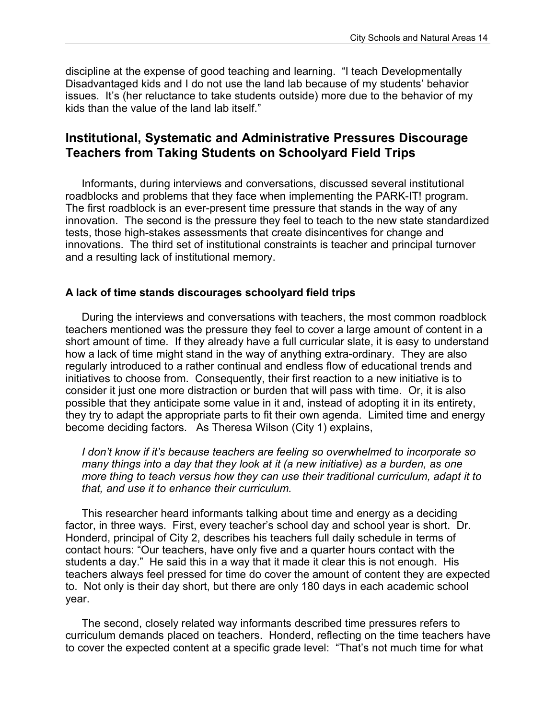discipline at the expense of good teaching and learning. "I teach Developmentally Disadvantaged kids and I do not use the land lab because of my students' behavior issues. It's (her reluctance to take students outside) more due to the behavior of my kids than the value of the land lab itself."

### **Institutional, Systematic and Administrative Pressures Discourage Teachers from Taking Students on Schoolyard Field Trips**

Informants, during interviews and conversations, discussed several institutional roadblocks and problems that they face when implementing the PARK-IT! program. The first roadblock is an ever-present time pressure that stands in the way of any innovation. The second is the pressure they feel to teach to the new state standardized tests, those high-stakes assessments that create disincentives for change and innovations. The third set of institutional constraints is teacher and principal turnover and a resulting lack of institutional memory.

#### **A lack of time stands discourages schoolyard field trips**

During the interviews and conversations with teachers, the most common roadblock teachers mentioned was the pressure they feel to cover a large amount of content in a short amount of time. If they already have a full curricular slate, it is easy to understand how a lack of time might stand in the way of anything extra-ordinary. They are also regularly introduced to a rather continual and endless flow of educational trends and initiatives to choose from. Consequently, their first reaction to a new initiative is to consider it just one more distraction or burden that will pass with time. Or, it is also possible that they anticipate some value in it and, instead of adopting it in its entirety, they try to adapt the appropriate parts to fit their own agenda. Limited time and energy become deciding factors. As Theresa Wilson (City 1) explains,

*I don't know if it's because teachers are feeling so overwhelmed to incorporate so many things into a day that they look at it (a new initiative) as a burden, as one more thing to teach versus how they can use their traditional curriculum, adapt it to that, and use it to enhance their curriculum*.

This researcher heard informants talking about time and energy as a deciding factor, in three ways. First, every teacher's school day and school year is short. Dr. Honderd, principal of City 2, describes his teachers full daily schedule in terms of contact hours: "Our teachers, have only five and a quarter hours contact with the students a day." He said this in a way that it made it clear this is not enough. His teachers always feel pressed for time do cover the amount of content they are expected to. Not only is their day short, but there are only 180 days in each academic school year.

The second, closely related way informants described time pressures refers to curriculum demands placed on teachers. Honderd, reflecting on the time teachers have to cover the expected content at a specific grade level: "That's not much time for what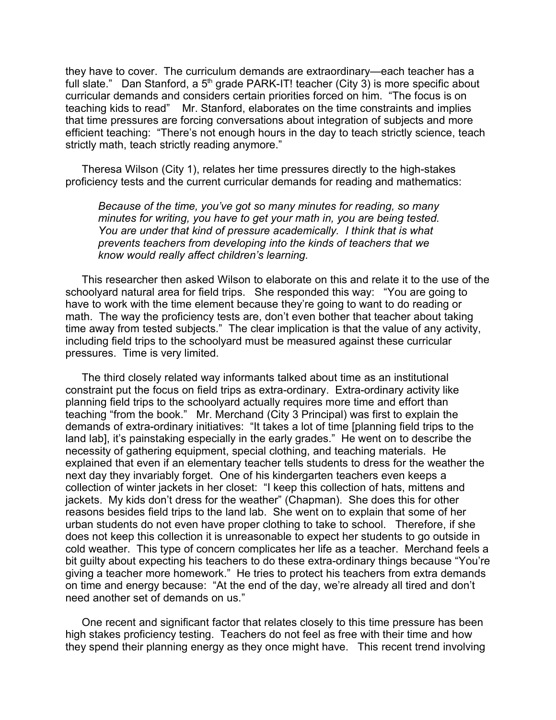they have to cover. The curriculum demands are extraordinary—each teacher has a full slate." Dan Stanford, a 5<sup>th</sup> grade PARK-IT! teacher (City 3) is more specific about curricular demands and considers certain priorities forced on him. "The focus is on teaching kids to read" Mr. Stanford, elaborates on the time constraints and implies that time pressures are forcing conversations about integration of subjects and more efficient teaching: "There's not enough hours in the day to teach strictly science, teach strictly math, teach strictly reading anymore."

Theresa Wilson (City 1), relates her time pressures directly to the high-stakes proficiency tests and the current curricular demands for reading and mathematics:

*Because of the time, you've got so many minutes for reading, so many minutes for writing, you have to get your math in, you are being tested. You are under that kind of pressure academically. I think that is what prevents teachers from developing into the kinds of teachers that we know would really affect children's learning.*

This researcher then asked Wilson to elaborate on this and relate it to the use of the schoolyard natural area for field trips. She responded this way: "You are going to have to work with the time element because they're going to want to do reading or math. The way the proficiency tests are, don't even bother that teacher about taking time away from tested subjects." The clear implication is that the value of any activity, including field trips to the schoolyard must be measured against these curricular pressures. Time is very limited.

The third closely related way informants talked about time as an institutional constraint put the focus on field trips as extra-ordinary. Extra-ordinary activity like planning field trips to the schoolyard actually requires more time and effort than teaching "from the book." Mr. Merchand (City 3 Principal) was first to explain the demands of extra-ordinary initiatives: "It takes a lot of time [planning field trips to the land lab], it's painstaking especially in the early grades." He went on to describe the necessity of gathering equipment, special clothing, and teaching materials. He explained that even if an elementary teacher tells students to dress for the weather the next day they invariably forget. One of his kindergarten teachers even keeps a collection of winter jackets in her closet: "I keep this collection of hats, mittens and jackets. My kids don't dress for the weather" (Chapman). She does this for other reasons besides field trips to the land lab. She went on to explain that some of her urban students do not even have proper clothing to take to school. Therefore, if she does not keep this collection it is unreasonable to expect her students to go outside in cold weather. This type of concern complicates her life as a teacher. Merchand feels a bit guilty about expecting his teachers to do these extra-ordinary things because "You're giving a teacher more homework." He tries to protect his teachers from extra demands on time and energy because: "At the end of the day, we're already all tired and don't need another set of demands on us."

One recent and significant factor that relates closely to this time pressure has been high stakes proficiency testing. Teachers do not feel as free with their time and how they spend their planning energy as they once might have. This recent trend involving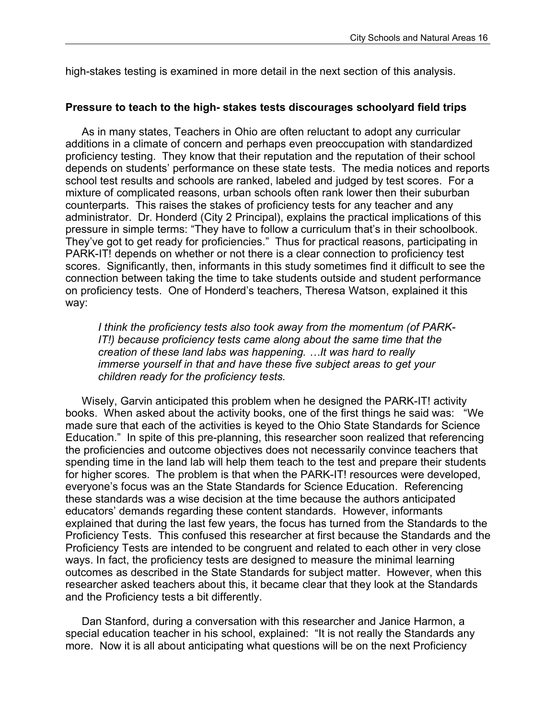high-stakes testing is examined in more detail in the next section of this analysis.

#### **Pressure to teach to the high- stakes tests discourages schoolyard field trips**

As in many states, Teachers in Ohio are often reluctant to adopt any curricular additions in a climate of concern and perhaps even preoccupation with standardized proficiency testing. They know that their reputation and the reputation of their school depends on students' performance on these state tests. The media notices and reports school test results and schools are ranked, labeled and judged by test scores. For a mixture of complicated reasons, urban schools often rank lower then their suburban counterparts. This raises the stakes of proficiency tests for any teacher and any administrator. Dr. Honderd (City 2 Principal), explains the practical implications of this pressure in simple terms: "They have to follow a curriculum that's in their schoolbook. They've got to get ready for proficiencies." Thus for practical reasons, participating in PARK-IT! depends on whether or not there is a clear connection to proficiency test scores. Significantly, then, informants in this study sometimes find it difficult to see the connection between taking the time to take students outside and student performance on proficiency tests. One of Honderd's teachers, Theresa Watson, explained it this way:

*I think the proficiency tests also took away from the momentum (of PARK-IT!) because proficiency tests came along about the same time that the creation of these land labs was happening. …It was hard to really immerse yourself in that and have these five subject areas to get your children ready for the proficiency tests.*

Wisely, Garvin anticipated this problem when he designed the PARK-IT! activity books. When asked about the activity books, one of the first things he said was: "We made sure that each of the activities is keyed to the Ohio State Standards for Science Education." In spite of this pre-planning, this researcher soon realized that referencing the proficiencies and outcome objectives does not necessarily convince teachers that spending time in the land lab will help them teach to the test and prepare their students for higher scores. The problem is that when the PARK-IT! resources were developed, everyone's focus was an the State Standards for Science Education. Referencing these standards was a wise decision at the time because the authors anticipated educators' demands regarding these content standards. However, informants explained that during the last few years, the focus has turned from the Standards to the Proficiency Tests. This confused this researcher at first because the Standards and the Proficiency Tests are intended to be congruent and related to each other in very close ways. In fact, the proficiency tests are designed to measure the minimal learning outcomes as described in the State Standards for subject matter. However, when this researcher asked teachers about this, it became clear that they look at the Standards and the Proficiency tests a bit differently.

Dan Stanford, during a conversation with this researcher and Janice Harmon, a special education teacher in his school, explained: "It is not really the Standards any more. Now it is all about anticipating what questions will be on the next Proficiency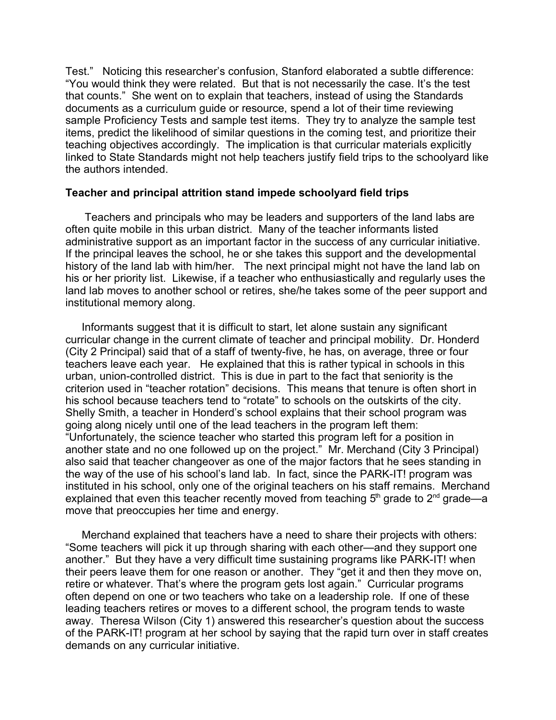Test." Noticing this researcher's confusion, Stanford elaborated a subtle difference: "You would think they were related. But that is not necessarily the case. It's the test that counts." She went on to explain that teachers, instead of using the Standards documents as a curriculum guide or resource, spend a lot of their time reviewing sample Proficiency Tests and sample test items. They try to analyze the sample test items, predict the likelihood of similar questions in the coming test, and prioritize their teaching objectives accordingly. The implication is that curricular materials explicitly linked to State Standards might not help teachers justify field trips to the schoolyard like the authors intended.

#### **Teacher and principal attrition stand impede schoolyard field trips**

Teachers and principals who may be leaders and supporters of the land labs are often quite mobile in this urban district. Many of the teacher informants listed administrative support as an important factor in the success of any curricular initiative. If the principal leaves the school, he or she takes this support and the developmental history of the land lab with him/her. The next principal might not have the land lab on his or her priority list. Likewise, if a teacher who enthusiastically and regularly uses the land lab moves to another school or retires, she/he takes some of the peer support and institutional memory along.

Informants suggest that it is difficult to start, let alone sustain any significant curricular change in the current climate of teacher and principal mobility. Dr. Honderd (City 2 Principal) said that of a staff of twenty-five, he has, on average, three or four teachers leave each year. He explained that this is rather typical in schools in this urban, union-controlled district. This is due in part to the fact that seniority is the criterion used in "teacher rotation" decisions. This means that tenure is often short in his school because teachers tend to "rotate" to schools on the outskirts of the city. Shelly Smith, a teacher in Honderd's school explains that their school program was going along nicely until one of the lead teachers in the program left them: "Unfortunately, the science teacher who started this program left for a position in another state and no one followed up on the project." Mr. Merchand (City 3 Principal) also said that teacher changeover as one of the major factors that he sees standing in the way of the use of his school's land lab. In fact, since the PARK-IT! program was instituted in his school, only one of the original teachers on his staff remains. Merchand explained that even this teacher recently moved from teaching 5<sup>th</sup> grade to 2<sup>nd</sup> grade—a move that preoccupies her time and energy.

Merchand explained that teachers have a need to share their projects with others: "Some teachers will pick it up through sharing with each other—and they support one another." But they have a very difficult time sustaining programs like PARK-IT! when their peers leave them for one reason or another. They "get it and then they move on, retire or whatever. That's where the program gets lost again." Curricular programs often depend on one or two teachers who take on a leadership role. If one of these leading teachers retires or moves to a different school, the program tends to waste away. Theresa Wilson (City 1) answered this researcher's question about the success of the PARK-IT! program at her school by saying that the rapid turn over in staff creates demands on any curricular initiative.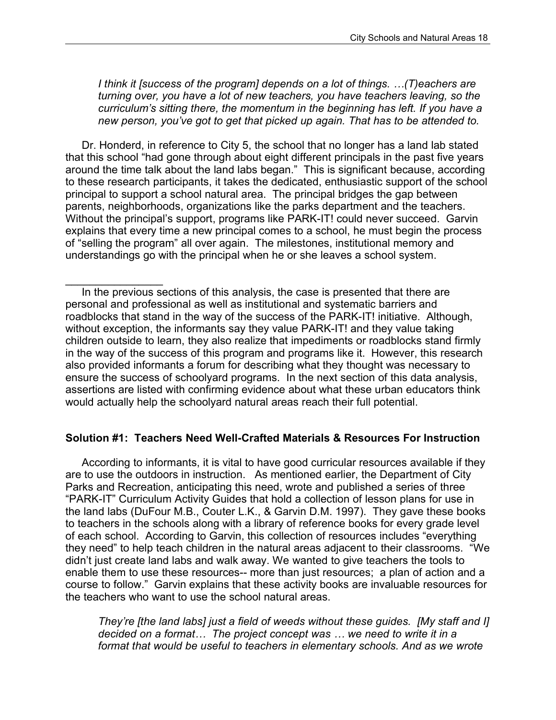*I think it [success of the program] depends on a lot of things. …(T)eachers are turning over, you have a lot of new teachers, you have teachers leaving, so the curriculum's sitting there, the momentum in the beginning has left. If you have a new person, you've got to get that picked up again. That has to be attended to.*

Dr. Honderd, in reference to City 5, the school that no longer has a land lab stated that this school "had gone through about eight different principals in the past five years around the time talk about the land labs began." This is significant because, according to these research participants, it takes the dedicated, enthusiastic support of the school principal to support a school natural area. The principal bridges the gap between parents, neighborhoods, organizations like the parks department and the teachers. Without the principal's support, programs like PARK-IT! could never succeed. Garvin explains that every time a new principal comes to a school, he must begin the process of "selling the program" all over again. The milestones, institutional memory and understandings go with the principal when he or she leaves a school system.

In the previous sections of this analysis, the case is presented that there are personal and professional as well as institutional and systematic barriers and roadblocks that stand in the way of the success of the PARK-IT! initiative. Although, without exception, the informants say they value PARK-IT! and they value taking children outside to learn, they also realize that impediments or roadblocks stand firmly in the way of the success of this program and programs like it. However, this research also provided informants a forum for describing what they thought was necessary to ensure the success of schoolyard programs. In the next section of this data analysis, assertions are listed with confirming evidence about what these urban educators think would actually help the schoolyard natural areas reach their full potential.

 $\frac{1}{2}$ 

#### **Solution #1: Teachers Need Well-Crafted Materials & Resources For Instruction**

According to informants, it is vital to have good curricular resources available if they are to use the outdoors in instruction. As mentioned earlier, the Department of City Parks and Recreation, anticipating this need, wrote and published a series of three "PARK-IT" Curriculum Activity Guides that hold a collection of lesson plans for use in the land labs (DuFour M.B., Couter L.K., & Garvin D.M. 1997). They gave these books to teachers in the schools along with a library of reference books for every grade level of each school. According to Garvin, this collection of resources includes "everything they need" to help teach children in the natural areas adjacent to their classrooms. "We didn't just create land labs and walk away. We wanted to give teachers the tools to enable them to use these resources-- more than just resources; a plan of action and a course to follow." Garvin explains that these activity books are invaluable resources for the teachers who want to use the school natural areas.

*They're [the land labs] just a field of weeds without these guides. [My staff and I] decided on a format… The project concept was … we need to write it in a format that would be useful to teachers in elementary schools. And as we wrote*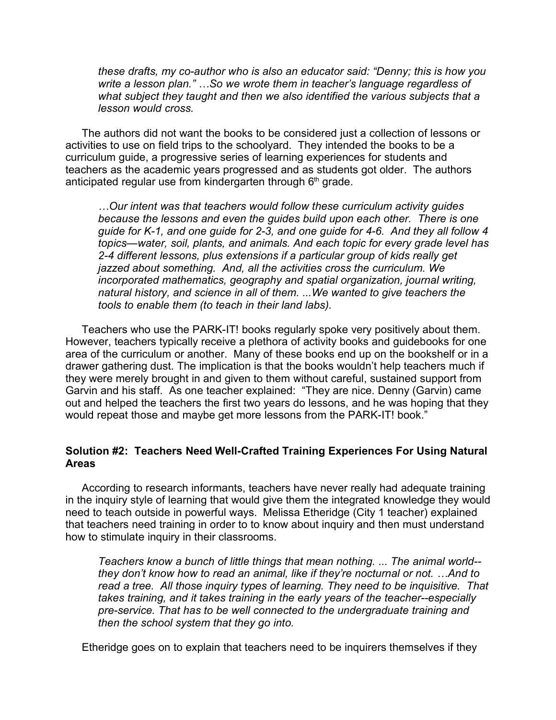*these drafts, my co-author who is also an educator said: "Denny; this is how you write a lesson plan." …So we wrote them in teacher's language regardless of what subject they taught and then we also identified the various subjects that a lesson would cross.*

The authors did not want the books to be considered just a collection of lessons or activities to use on field trips to the schoolyard. They intended the books to be a curriculum guide, a progressive series of learning experiences for students and teachers as the academic years progressed and as students got older. The authors anticipated regular use from kindergarten through  $6<sup>th</sup>$  grade.

*…Our intent was that teachers would follow these curriculum activity guides because the lessons and even the guides build upon each other. There is one guide for K-1, and one guide for 2-3, and one guide for 4-6. And they all follow 4 topics—water, soil, plants, and animals. And each topic for every grade level has 2-4 different lessons, plus extensions if a particular group of kids really get jazzed about something. And, all the activities cross the curriculum. We incorporated mathematics, geography and spatial organization, journal writing, natural history, and science in all of them. ...We wanted to give teachers the tools to enable them (to teach in their land labs).*

Teachers who use the PARK-IT! books regularly spoke very positively about them. However, teachers typically receive a plethora of activity books and guidebooks for one area of the curriculum or another. Many of these books end up on the bookshelf or in a drawer gathering dust. The implication is that the books wouldn't help teachers much if they were merely brought in and given to them without careful, sustained support from Garvin and his staff. As one teacher explained: "They are nice. Denny (Garvin) came out and helped the teachers the first two years do lessons, and he was hoping that they would repeat those and maybe get more lessons from the PARK-IT! book."

#### **Solution #2: Teachers Need Well-Crafted Training Experiences For Using Natural Areas**

According to research informants, teachers have never really had adequate training in the inquiry style of learning that would give them the integrated knowledge they would need to teach outside in powerful ways. Melissa Etheridge (City 1 teacher) explained that teachers need training in order to to know about inquiry and then must understand how to stimulate inquiry in their classrooms.

*Teachers know a bunch of little things that mean nothing. ... The animal world- they don't know how to read an animal, like if they're nocturnal or not. …And to read a tree. All those inquiry types of learning. They need to be inquisitive. That takes training, and it takes training in the early years of the teacher--especially pre-service. That has to be well connected to the undergraduate training and then the school system that they go into.*

Etheridge goes on to explain that teachers need to be inquirers themselves if they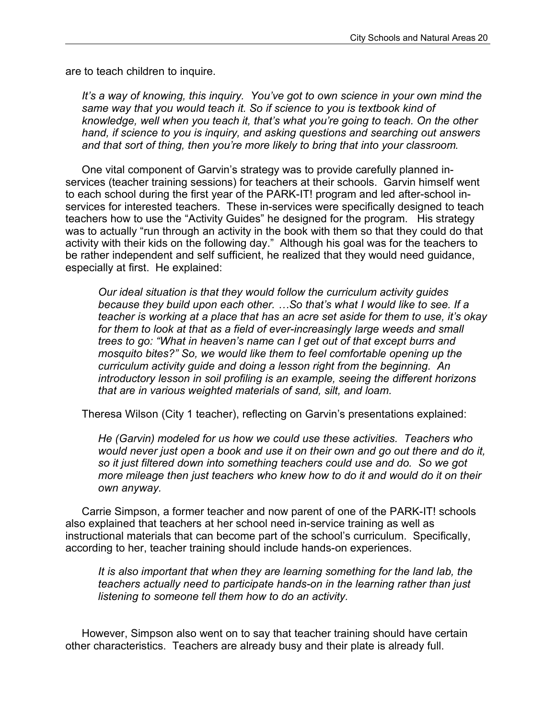are to teach children to inquire.

*It's a way of knowing, this inquiry. You've got to own science in your own mind the same way that you would teach it. So if science to you is textbook kind of knowledge, well when you teach it, that's what you're going to teach. On the other hand, if science to you is inquiry, and asking questions and searching out answers and that sort of thing, then you're more likely to bring that into your classroom*.

One vital component of Garvin's strategy was to provide carefully planned inservices (teacher training sessions) for teachers at their schools. Garvin himself went to each school during the first year of the PARK-IT! program and led after-school inservices for interested teachers. These in-services were specifically designed to teach teachers how to use the "Activity Guides" he designed for the program. His strategy was to actually "run through an activity in the book with them so that they could do that activity with their kids on the following day." Although his goal was for the teachers to be rather independent and self sufficient, he realized that they would need guidance, especially at first. He explained:

*Our ideal situation is that they would follow the curriculum activity guides because they build upon each other. …So that's what I would like to see. If a teacher is working at a place that has an acre set aside for them to use, it's okay for them to look at that as a field of ever-increasingly large weeds and small trees to go: "What in heaven's name can I get out of that except burrs and mosquito bites?" So, we would like them to feel comfortable opening up the curriculum activity guide and doing a lesson right from the beginning. An introductory lesson in soil profiling is an example, seeing the different horizons that are in various weighted materials of sand, silt, and loam.*

Theresa Wilson (City 1 teacher), reflecting on Garvin's presentations explained:

*He (Garvin) modeled for us how we could use these activities. Teachers who would never just open a book and use it on their own and go out there and do it, so it just filtered down into something teachers could use and do. So we got more mileage then just teachers who knew how to do it and would do it on their own anyway.*

Carrie Simpson, a former teacher and now parent of one of the PARK-IT! schools also explained that teachers at her school need in-service training as well as instructional materials that can become part of the school's curriculum. Specifically, according to her, teacher training should include hands-on experiences.

*It is also important that when they are learning something for the land lab, the teachers actually need to participate hands-on in the learning rather than just listening to someone tell them how to do an activity.*

However, Simpson also went on to say that teacher training should have certain other characteristics. Teachers are already busy and their plate is already full.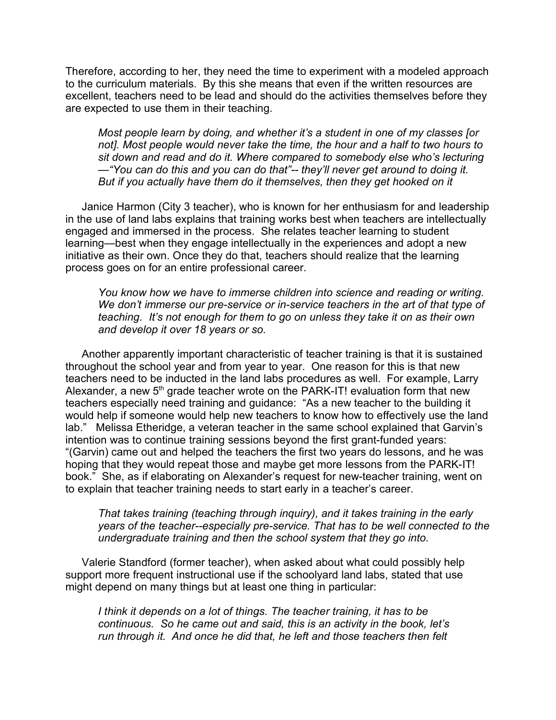Therefore, according to her, they need the time to experiment with a modeled approach to the curriculum materials. By this she means that even if the written resources are excellent, teachers need to be lead and should do the activities themselves before they are expected to use them in their teaching.

*Most people learn by doing, and whether it's a student in one of my classes [or not]. Most people would never take the time, the hour and a half to two hours to sit down and read and do it. Where compared to somebody else who's lecturing —"You can do this and you can do that"-- they'll never get around to doing it. But if you actually have them do it themselves, then they get hooked on it*

Janice Harmon (City 3 teacher), who is known for her enthusiasm for and leadership in the use of land labs explains that training works best when teachers are intellectually engaged and immersed in the process. She relates teacher learning to student learning—best when they engage intellectually in the experiences and adopt a new initiative as their own. Once they do that, teachers should realize that the learning process goes on for an entire professional career.

*You know how we have to immerse children into science and reading or writing. We don't immerse our pre-service or in-service teachers in the art of that type of teaching. It's not enough for them to go on unless they take it on as their own and develop it over 18 years or so.* 

Another apparently important characteristic of teacher training is that it is sustained throughout the school year and from year to year. One reason for this is that new teachers need to be inducted in the land labs procedures as well. For example, Larry Alexander, a new 5<sup>th</sup> grade teacher wrote on the PARK-IT! evaluation form that new teachers especially need training and guidance: "As a new teacher to the building it would help if someone would help new teachers to know how to effectively use the land lab." Melissa Etheridge, a veteran teacher in the same school explained that Garvin's intention was to continue training sessions beyond the first grant-funded years: "(Garvin) came out and helped the teachers the first two years do lessons, and he was hoping that they would repeat those and maybe get more lessons from the PARK-IT! book." She, as if elaborating on Alexander's request for new-teacher training, went on to explain that teacher training needs to start early in a teacher's career.

*That takes training (teaching through inquiry), and it takes training in the early years of the teacher--especially pre-service. That has to be well connected to the undergraduate training and then the school system that they go into.*

Valerie Standford (former teacher), when asked about what could possibly help support more frequent instructional use if the schoolyard land labs, stated that use might depend on many things but at least one thing in particular:

*I think it depends on a lot of things. The teacher training, it has to be continuous. So he came out and said, this is an activity in the book, let's run through it. And once he did that, he left and those teachers then felt*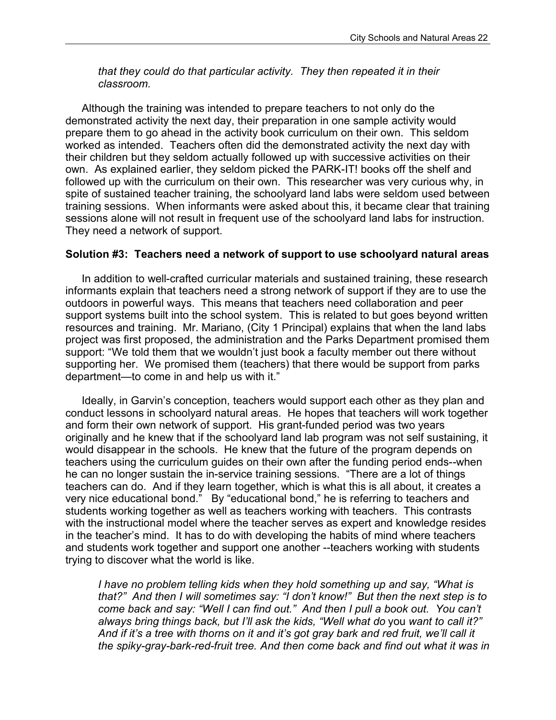*that they could do that particular activity. They then repeated it in their classroom.* 

Although the training was intended to prepare teachers to not only do the demonstrated activity the next day, their preparation in one sample activity would prepare them to go ahead in the activity book curriculum on their own. This seldom worked as intended. Teachers often did the demonstrated activity the next day with their children but they seldom actually followed up with successive activities on their own. As explained earlier, they seldom picked the PARK-IT! books off the shelf and followed up with the curriculum on their own. This researcher was very curious why, in spite of sustained teacher training, the schoolyard land labs were seldom used between training sessions. When informants were asked about this, it became clear that training sessions alone will not result in frequent use of the schoolyard land labs for instruction. They need a network of support.

#### **Solution #3: Teachers need a network of support to use schoolyard natural areas**

In addition to well-crafted curricular materials and sustained training, these research informants explain that teachers need a strong network of support if they are to use the outdoors in powerful ways. This means that teachers need collaboration and peer support systems built into the school system. This is related to but goes beyond written resources and training. Mr. Mariano, (City 1 Principal) explains that when the land labs project was first proposed, the administration and the Parks Department promised them support: "We told them that we wouldn't just book a faculty member out there without supporting her. We promised them (teachers) that there would be support from parks department—to come in and help us with it."

Ideally, in Garvin's conception, teachers would support each other as they plan and conduct lessons in schoolyard natural areas. He hopes that teachers will work together and form their own network of support. His grant-funded period was two years originally and he knew that if the schoolyard land lab program was not self sustaining, it would disappear in the schools. He knew that the future of the program depends on teachers using the curriculum guides on their own after the funding period ends--when he can no longer sustain the in-service training sessions. "There are a lot of things teachers can do. And if they learn together, which is what this is all about, it creates a very nice educational bond." By "educational bond," he is referring to teachers and students working together as well as teachers working with teachers. This contrasts with the instructional model where the teacher serves as expert and knowledge resides in the teacher's mind. It has to do with developing the habits of mind where teachers and students work together and support one another --teachers working with students trying to discover what the world is like.

*I have no problem telling kids when they hold something up and say, "What is that?" And then I will sometimes say: "I don't know!" But then the next step is to come back and say: "Well I can find out." And then I pull a book out. You can't always bring things back, but I'll ask the kids, "Well what do* you *want to call it?" And if it's a tree with thorns on it and it's got gray bark and red fruit, we'll call it the spiky-gray-bark-red-fruit tree. And then come back and find out what it was in*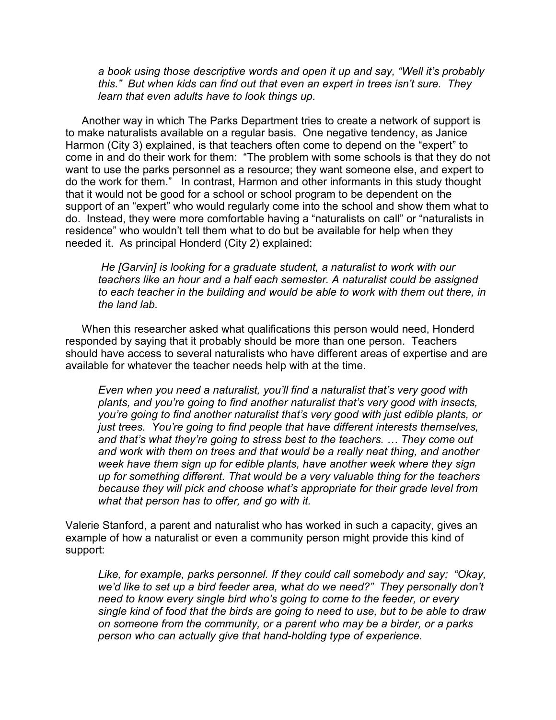*a book using those descriptive words and open it up and say, "Well it's probably this." But when kids can find out that even an expert in trees isn't sure. They learn that even adults have to look things up.*

Another way in which The Parks Department tries to create a network of support is to make naturalists available on a regular basis. One negative tendency, as Janice Harmon (City 3) explained, is that teachers often come to depend on the "expert" to come in and do their work for them: "The problem with some schools is that they do not want to use the parks personnel as a resource; they want someone else, and expert to do the work for them." In contrast, Harmon and other informants in this study thought that it would not be good for a school or school program to be dependent on the support of an "expert" who would regularly come into the school and show them what to do. Instead, they were more comfortable having a "naturalists on call" or "naturalists in residence" who wouldn't tell them what to do but be available for help when they needed it. As principal Honderd (City 2) explained:

*He [Garvin] is looking for a graduate student, a naturalist to work with our teachers like an hour and a half each semester. A naturalist could be assigned to each teacher in the building and would be able to work with them out there, in the land lab.* 

When this researcher asked what qualifications this person would need, Honderd responded by saying that it probably should be more than one person. Teachers should have access to several naturalists who have different areas of expertise and are available for whatever the teacher needs help with at the time.

*Even when you need a naturalist, you'll find a naturalist that's very good with plants, and you're going to find another naturalist that's very good with insects, you're going to find another naturalist that's very good with just edible plants, or just trees. You're going to find people that have different interests themselves, and that's what they're going to stress best to the teachers. … They come out and work with them on trees and that would be a really neat thing, and another week have them sign up for edible plants, have another week where they sign up for something different. That would be a very valuable thing for the teachers because they will pick and choose what's appropriate for their grade level from what that person has to offer, and go with it.* 

Valerie Stanford, a parent and naturalist who has worked in such a capacity, gives an example of how a naturalist or even a community person might provide this kind of support:

*Like, for example, parks personnel. If they could call somebody and say; "Okay, we'd like to set up a bird feeder area, what do we need?" They personally don't need to know every single bird who's going to come to the feeder, or every single kind of food that the birds are going to need to use, but to be able to draw on someone from the community, or a parent who may be a birder, or a parks person who can actually give that hand-holding type of experience.*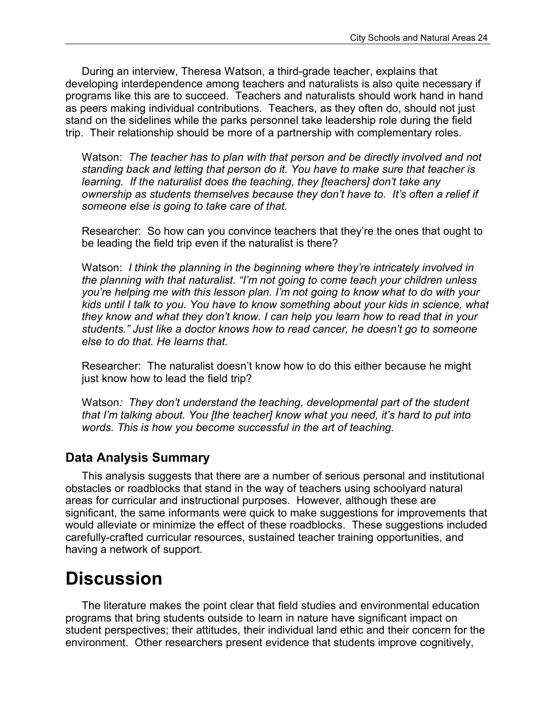During an interview, Theresa Watson, a third-grade teacher, explains that developing interdependence among teachers and naturalists is also quite necessary if programs like this are to succeed. Teachers and naturalists should work hand in hand as peers making individual contributions. Teachers, as they often do, should not just stand on the sidelines while the parks personnel take leadership role during the field trip. Their relationship should be more of a partnership with complementary roles.

Watson: *The teacher has to plan with that person and be directly involved and not standing back and letting that person do it. You have to make sure that teacher is learning. If the naturalist does the teaching, they [teachers] don't take any ownership as students themselves because they don't have to. It's often a relief if someone else is going to take care of that.*

Researcher: So how can you convince teachers that they're the ones that ought to be leading the field trip even if the naturalist is there?

Watson: *I think the planning in the beginning where they're intricately involved in the planning with that naturalist. "I'm not going to come teach your children unless you're helping me with this lesson plan. I'm not going to know what to do with your kids until I talk to you. You have to know something about your kids in science, what they know and what they don't know. I can help you learn how to read that in your students." Just like a doctor knows how to read cancer, he doesn't go to someone else to do that. He learns that.*

Researcher: The naturalist doesn't know how to do this either because he might just know how to lead the field trip?

Watson*: They don't understand the teaching, developmental part of the student that I'm talking about. You [the teacher] know what you need, it's hard to put into words. This is how you become successful in the art of teaching.*

### **Data Analysis Summary**

This analysis suggests that there are a number of serious personal and institutional obstacles or roadblocks that stand in the way of teachers using schoolyard natural areas for curricular and instructional purposes. However, although these are significant, the same informants were quick to make suggestions for improvements that would alleviate or minimize the effect of these roadblocks. These suggestions included carefully-crafted curricular resources, sustained teacher training opportunities, and having a network of support.

## **Discussion**

The literature makes the point clear that field studies and environmental education programs that bring students outside to learn in nature have significant impact on student perspectives; their attitudes, their individual land ethic and their concern for the environment. Other researchers present evidence that students improve cognitively,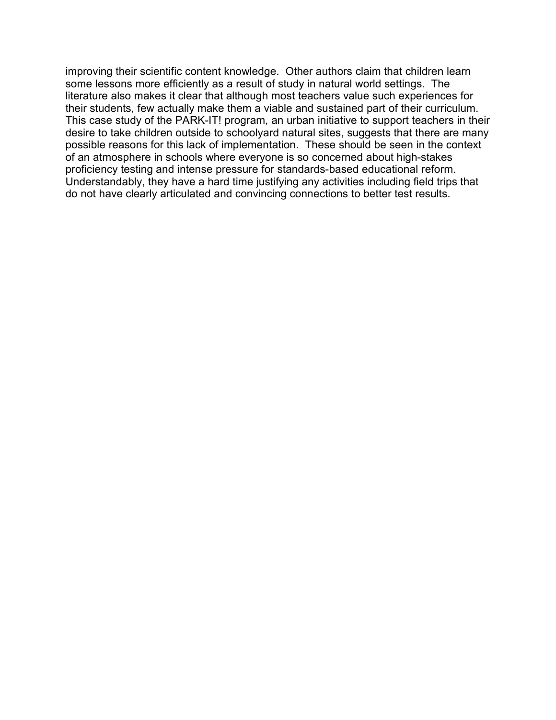improving their scientific content knowledge. Other authors claim that children learn some lessons more efficiently as a result of study in natural world settings. The literature also makes it clear that although most teachers value such experiences for their students, few actually make them a viable and sustained part of their curriculum. This case study of the PARK-IT! program, an urban initiative to support teachers in their desire to take children outside to schoolyard natural sites, suggests that there are many possible reasons for this lack of implementation. These should be seen in the context of an atmosphere in schools where everyone is so concerned about high-stakes proficiency testing and intense pressure for standards-based educational reform. Understandably, they have a hard time justifying any activities including field trips that do not have clearly articulated and convincing connections to better test results.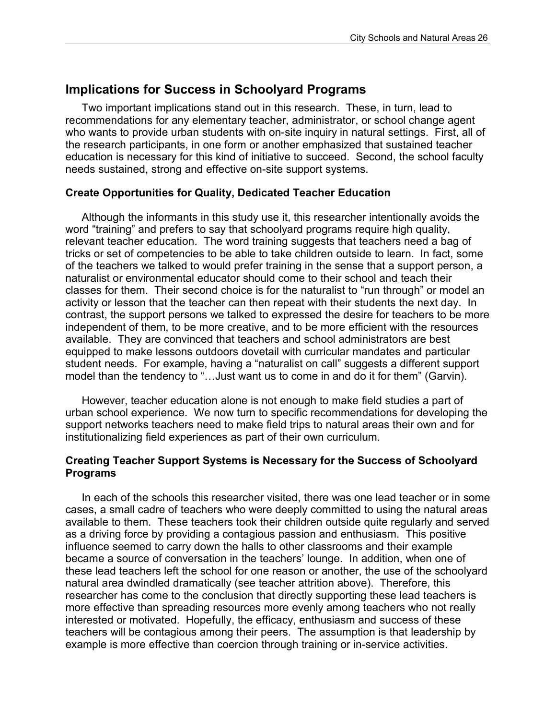### **Implications for Success in Schoolyard Programs**

Two important implications stand out in this research. These, in turn, lead to recommendations for any elementary teacher, administrator, or school change agent who wants to provide urban students with on-site inquiry in natural settings. First, all of the research participants, in one form or another emphasized that sustained teacher education is necessary for this kind of initiative to succeed. Second, the school faculty needs sustained, strong and effective on-site support systems.

#### **Create Opportunities for Quality, Dedicated Teacher Education**

Although the informants in this study use it, this researcher intentionally avoids the word "training" and prefers to say that schoolyard programs require high quality, relevant teacher education. The word training suggests that teachers need a bag of tricks or set of competencies to be able to take children outside to learn. In fact, some of the teachers we talked to would prefer training in the sense that a support person, a naturalist or environmental educator should come to their school and teach their classes for them. Their second choice is for the naturalist to "run through" or model an activity or lesson that the teacher can then repeat with their students the next day. In contrast, the support persons we talked to expressed the desire for teachers to be more independent of them, to be more creative, and to be more efficient with the resources available. They are convinced that teachers and school administrators are best equipped to make lessons outdoors dovetail with curricular mandates and particular student needs. For example, having a "naturalist on call" suggests a different support model than the tendency to "…Just want us to come in and do it for them" (Garvin).

However, teacher education alone is not enough to make field studies a part of urban school experience. We now turn to specific recommendations for developing the support networks teachers need to make field trips to natural areas their own and for institutionalizing field experiences as part of their own curriculum.

#### **Creating Teacher Support Systems is Necessary for the Success of Schoolyard Programs**

In each of the schools this researcher visited, there was one lead teacher or in some cases, a small cadre of teachers who were deeply committed to using the natural areas available to them. These teachers took their children outside quite regularly and served as a driving force by providing a contagious passion and enthusiasm. This positive influence seemed to carry down the halls to other classrooms and their example became a source of conversation in the teachers' lounge. In addition, when one of these lead teachers left the school for one reason or another, the use of the schoolyard natural area dwindled dramatically (see teacher attrition above). Therefore, this researcher has come to the conclusion that directly supporting these lead teachers is more effective than spreading resources more evenly among teachers who not really interested or motivated. Hopefully, the efficacy, enthusiasm and success of these teachers will be contagious among their peers. The assumption is that leadership by example is more effective than coercion through training or in-service activities.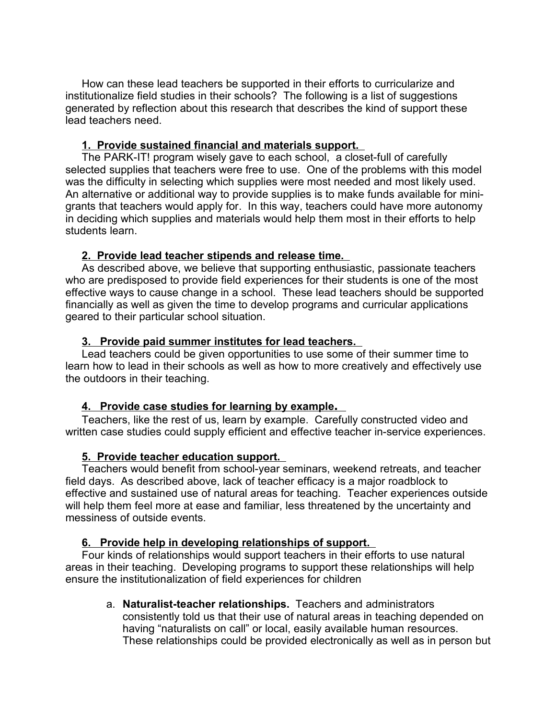How can these lead teachers be supported in their efforts to curricularize and institutionalize field studies in their schools? The following is a list of suggestions generated by reflection about this research that describes the kind of support these lead teachers need.

#### **1. Provide sustained financial and materials support.**

The PARK-IT! program wisely gave to each school, a closet-full of carefully selected supplies that teachers were free to use. One of the problems with this model was the difficulty in selecting which supplies were most needed and most likely used. An alternative or additional way to provide supplies is to make funds available for minigrants that teachers would apply for. In this way, teachers could have more autonomy in deciding which supplies and materials would help them most in their efforts to help students learn.

#### **2. Provide lead teacher stipends and release time.**

As described above, we believe that supporting enthusiastic, passionate teachers who are predisposed to provide field experiences for their students is one of the most effective ways to cause change in a school. These lead teachers should be supported financially as well as given the time to develop programs and curricular applications geared to their particular school situation.

#### **3. Provide paid summer institutes for lead teachers.**

Lead teachers could be given opportunities to use some of their summer time to learn how to lead in their schools as well as how to more creatively and effectively use the outdoors in their teaching.

#### **4. Provide case studies for learning by example .**

Teachers, like the rest of us, learn by example. Carefully constructed video and written case studies could supply efficient and effective teacher in-service experiences.

#### **5. Provide teacher education support.**

Teachers would benefit from school-year seminars, weekend retreats, and teacher field days. As described above, lack of teacher efficacy is a major roadblock to effective and sustained use of natural areas for teaching. Teacher experiences outside will help them feel more at ease and familiar, less threatened by the uncertainty and messiness of outside events.

#### **6. Provide help in developing relationships of support.**

Four kinds of relationships would support teachers in their efforts to use natural areas in their teaching. Developing programs to support these relationships will help ensure the institutionalization of field experiences for children

a. **Naturalist-teacher relationships.** Teachers and administrators consistently told us that their use of natural areas in teaching depended on having "naturalists on call" or local, easily available human resources. These relationships could be provided electronically as well as in person but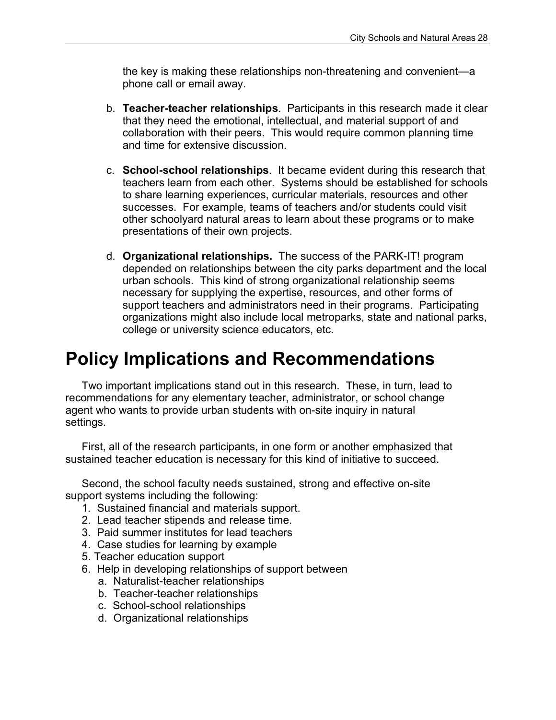the key is making these relationships non-threatening and convenient—a phone call or email away.

- b. **Teacher-teacher relationships**. Participants in this research made it clear that they need the emotional, intellectual, and material support of and collaboration with their peers. This would require common planning time and time for extensive discussion.
- c. **School-school relationships**. It became evident during this research that teachers learn from each other. Systems should be established for schools to share learning experiences, curricular materials, resources and other successes. For example, teams of teachers and/or students could visit other schoolyard natural areas to learn about these programs or to make presentations of their own projects.
- d. **Organizational relationships.** The success of the PARK-IT! program depended on relationships between the city parks department and the local urban schools. This kind of strong organizational relationship seems necessary for supplying the expertise, resources, and other forms of support teachers and administrators need in their programs. Participating organizations might also include local metroparks, state and national parks, college or university science educators, etc.

## **Policy Implications and Recommendations**

Two important implications stand out in this research. These, in turn, lead to recommendations for any elementary teacher, administrator, or school change agent who wants to provide urban students with on-site inquiry in natural settings.

First, all of the research participants, in one form or another emphasized that sustained teacher education is necessary for this kind of initiative to succeed.

Second, the school faculty needs sustained, strong and effective on-site support systems including the following:

- 1. Sustained financial and materials support.
- 2. Lead teacher stipends and release time.
- 3. Paid summer institutes for lead teachers
- 4. Case studies for learning by example
- 5. Teacher education support
- 6. Help in developing relationships of support between
	- a. Naturalist-teacher relationships
	- b. Teacher-teacher relationships
	- c. School-school relationships
	- d. Organizational relationships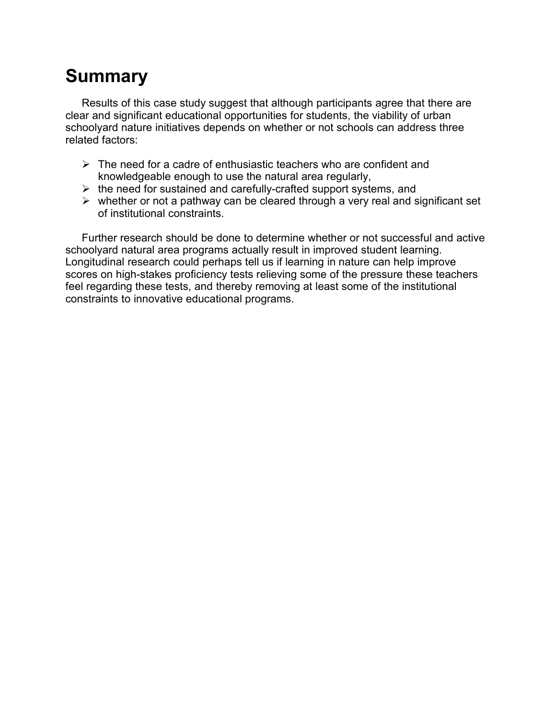# **Summary**

Results of this case study suggest that although participants agree that there are clear and significant educational opportunities for students, the viability of urban schoolyard nature initiatives depends on whether or not schools can address three related factors:

- $\triangleright$  The need for a cadre of enthusiastic teachers who are confident and knowledgeable enough to use the natural area regularly,
- $\triangleright$  the need for sustained and carefully-crafted support systems, and
- $\triangleright$  whether or not a pathway can be cleared through a very real and significant set of institutional constraints.

Further research should be done to determine whether or not successful and active schoolyard natural area programs actually result in improved student learning. Longitudinal research could perhaps tell us if learning in nature can help improve scores on high-stakes proficiency tests relieving some of the pressure these teachers feel regarding these tests, and thereby removing at least some of the institutional constraints to innovative educational programs.